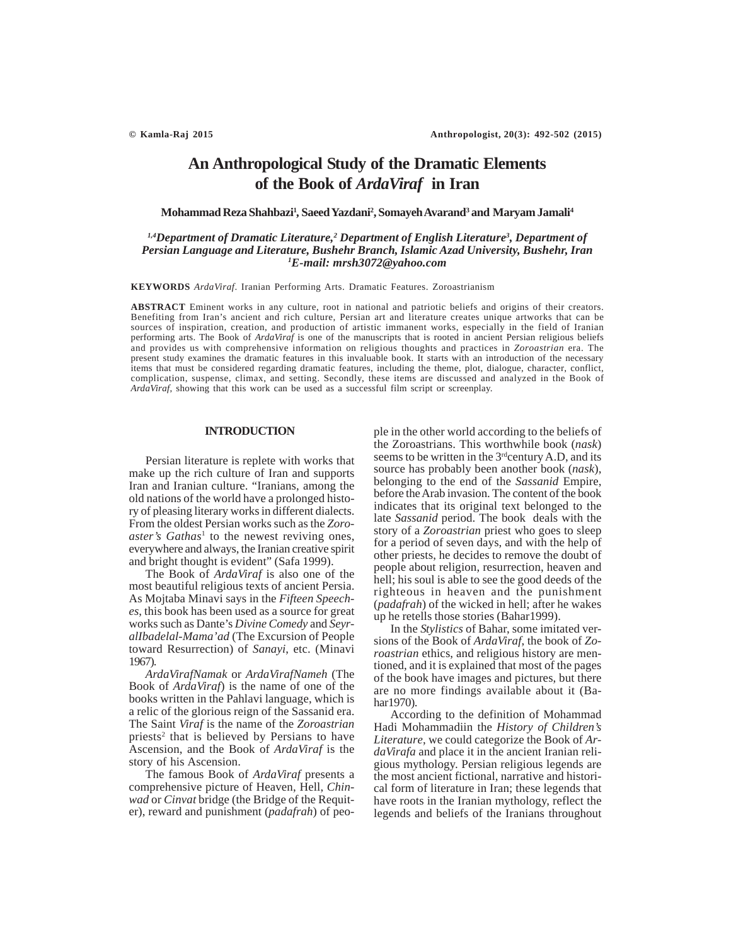# **An Anthropological Study of the Dramatic Elements of the Book of** *ArdaViraf* **in Iran**

**Mohammad Reza Shahbazi1** *,* **Saeed Yazdani2 , Somayeh Avarand3 and Maryam Jamali4**

# <sup>1,4</sup>Department of Dramatic Literature,<sup>2</sup> Department of English Literature<sup>3</sup>, Department of *Persian Language and Literature, Bushehr Branch, Islamic Azad University, Bushehr, Iran 1 E-mail: mrsh3072@yahoo.com*

**KEYWORDS** *ArdaViraf*. Iranian Performing Arts. Dramatic Features. Zoroastrianism

**ABSTRACT** Eminent works in any culture, root in national and patriotic beliefs and origins of their creators. Benefiting from Iran's ancient and rich culture, Persian art and literature creates unique artworks that can be sources of inspiration, creation, and production of artistic immanent works, especially in the field of Iranian performing arts. The Book of *ArdaViraf* is one of the manuscripts that is rooted in ancient Persian religious beliefs and provides us with comprehensive information on religious thoughts and practices in *Zoroastrian* era. The present study examines the dramatic features in this invaluable book. It starts with an introduction of the necessary items that must be considered regarding dramatic features, including the theme, plot, dialogue, character, conflict, complication, suspense, climax, and setting. Secondly, these items are discussed and analyzed in the Book of *ArdaViraf*, showing that this work can be used as a successful film script or screenplay.

### **INTRODUCTION**

Persian literature is replete with works that make up the rich culture of Iran and supports Iran and Iranian culture. "Iranians, among the old nations of the world have a prolonged history of pleasing literary works in different dialects. From the oldest Persian works such as the *Zoroaster's Gathas*<sup>1</sup> to the newest reviving ones, everywhere and always, the Iranian creative spirit and bright thought is evident" (Safa 1999).

The Book of *ArdaViraf* is also one of the most beautiful religious texts of ancient Persia. As Mojtaba Minavi says in the *Fifteen Speeches*, this book has been used as a source for great works such as Dante's *Divine Comedy* and *SeyralIbadelal-Mama'ad* (The Excursion of People toward Resurrection) of *Sanayi*, etc. (Minavi 1967).

*ArdaVirafNamak* or *ArdaVirafNameh* (The Book of *ArdaViraf*) is the name of one of the books written in the Pahlavi language, which is a relic of the glorious reign of the Sassanid era. The Saint *Viraf* is the name of the *Zoroastrian* priests<sup>2</sup> that is believed by Persians to have Ascension, and the Book of *ArdaViraf* is the story of his Ascension.

The famous Book of *ArdaViraf* presents a comprehensive picture of Heaven, Hell, *Chinwad* or *Cinvat* bridge (the Bridge of the Requiter), reward and punishment (*padafrah*) of people in the other world according to the beliefs of the Zoroastrians. This worthwhile book (*nask*) seems to be written in the  $3<sup>rd</sup>$ century A.D, and its source has probably been another book (*nask*), belonging to the end of the *Sassanid* Empire, before the Arab invasion. The content of the book indicates that its original text belonged to the late *Sassanid* period. The book deals with the story of a *Zoroastrian* priest who goes to sleep for a period of seven days, and with the help of other priests, he decides to remove the doubt of people about religion, resurrection, heaven and hell; his soul is able to see the good deeds of the righteous in heaven and the punishment (*padafrah*) of the wicked in hell; after he wakes up he retells those stories (Bahar1999).

In the *Stylistics* of Bahar, some imitated versions of the Book of *ArdaViraf*, the book of *Zoroastrian* ethics, and religious history are mentioned, and it is explained that most of the pages of the book have images and pictures, but there are no more findings available about it (Bahar1970).

According to the definition of Mohammad Hadi Mohammadiin the *History of Children's Literature*, we could categorize the Book of *ArdaVirafa* and place it in the ancient Iranian religious mythology. Persian religious legends are the most ancient fictional, narrative and historical form of literature in Iran; these legends that have roots in the Iranian mythology, reflect the legends and beliefs of the Iranians throughout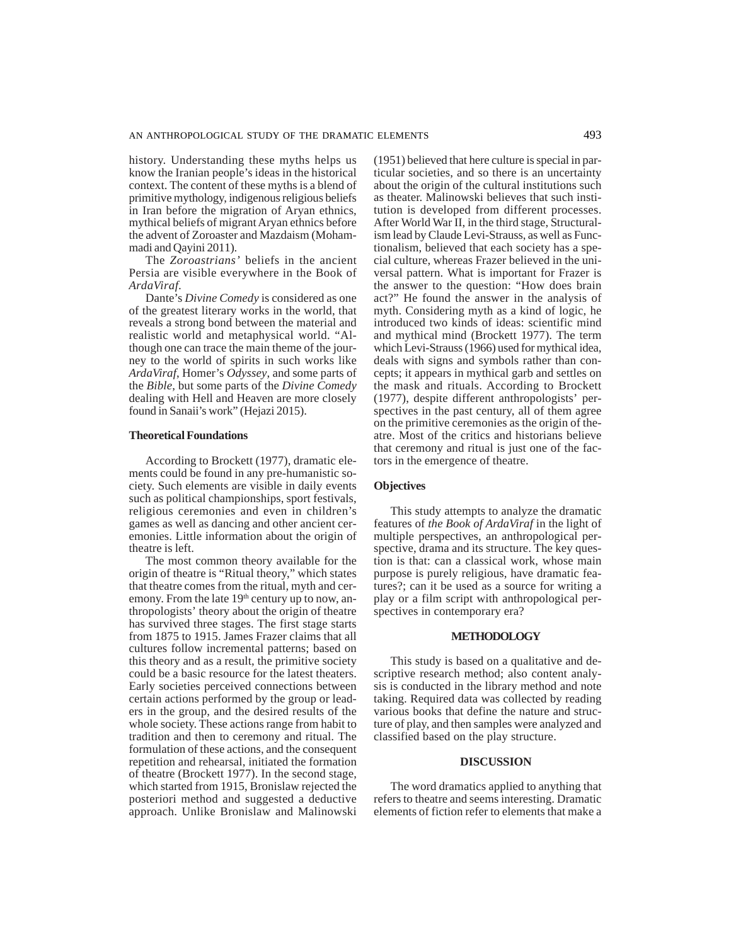history. Understanding these myths helps us know the Iranian people's ideas in the historical context. The content of these myths is a blend of primitive mythology, indigenous religious beliefs in Iran before the migration of Aryan ethnics, mythical beliefs of migrant Aryan ethnics before the advent of Zoroaster and Mazdaism (Mohammadi and Qayini 2011).

The *Zoroastrians'* beliefs in the ancient Persia are visible everywhere in the Book of *ArdaViraf.*

Dante's *Divine Comedy* is considered as one of the greatest literary works in the world, that reveals a strong bond between the material and realistic world and metaphysical world. "Although one can trace the main theme of the journey to the world of spirits in such works like *ArdaViraf*, Homer's *Odyssey*, and some parts of the *Bible*, but some parts of the *Divine Comedy* dealing with Hell and Heaven are more closely found in Sanaii's work" (Hejazi 2015).

# **Theoretical Foundations**

According to Brockett (1977), dramatic elements could be found in any pre-humanistic society. Such elements are visible in daily events such as political championships, sport festivals, religious ceremonies and even in children's games as well as dancing and other ancient ceremonies. Little information about the origin of theatre is left.

The most common theory available for the origin of theatre is "Ritual theory," which states that theatre comes from the ritual, myth and ceremony. From the late  $19<sup>th</sup>$  century up to now, anthropologists' theory about the origin of theatre has survived three stages. The first stage starts from 1875 to 1915. James Frazer claims that all cultures follow incremental patterns; based on this theory and as a result, the primitive society could be a basic resource for the latest theaters. Early societies perceived connections between certain actions performed by the group or leaders in the group, and the desired results of the whole society. These actions range from habit to tradition and then to ceremony and ritual. The formulation of these actions, and the consequent repetition and rehearsal, initiated the formation of theatre (Brockett 1977). In the second stage, which started from 1915, Bronislaw rejected the posteriori method and suggested a deductive approach. Unlike Bronislaw and Malinowski (1951) believed that here culture is special in particular societies, and so there is an uncertainty about the origin of the cultural institutions such as theater. Malinowski believes that such institution is developed from different processes. After World War II, in the third stage, Structuralism lead by Claude Levi-Strauss, as well as Functionalism, believed that each society has a special culture, whereas Frazer believed in the universal pattern. What is important for Frazer is the answer to the question: "How does brain act?" He found the answer in the analysis of myth. Considering myth as a kind of logic, he introduced two kinds of ideas: scientific mind and mythical mind (Brockett 1977). The term which Levi-Strauss (1966) used for mythical idea, deals with signs and symbols rather than concepts; it appears in mythical garb and settles on the mask and rituals. According to Brockett (1977), despite different anthropologists' perspectives in the past century, all of them agree on the primitive ceremonies as the origin of theatre. Most of the critics and historians believe that ceremony and ritual is just one of the factors in the emergence of theatre.

# **Objectives**

This study attempts to analyze the dramatic features of *the Book of ArdaViraf* in the light of multiple perspectives, an anthropological perspective, drama and its structure. The key question is that: can a classical work, whose main purpose is purely religious, have dramatic features?; can it be used as a source for writing a play or a film script with anthropological perspectives in contemporary era?

# **METHODOLOGY**

This study is based on a qualitative and descriptive research method; also content analysis is conducted in the library method and note taking. Required data was collected by reading various books that define the nature and structure of play, and then samples were analyzed and classified based on the play structure.

### **DISCUSSION**

The word dramatics applied to anything that refers to theatre and seems interesting. Dramatic elements of fiction refer to elements that make a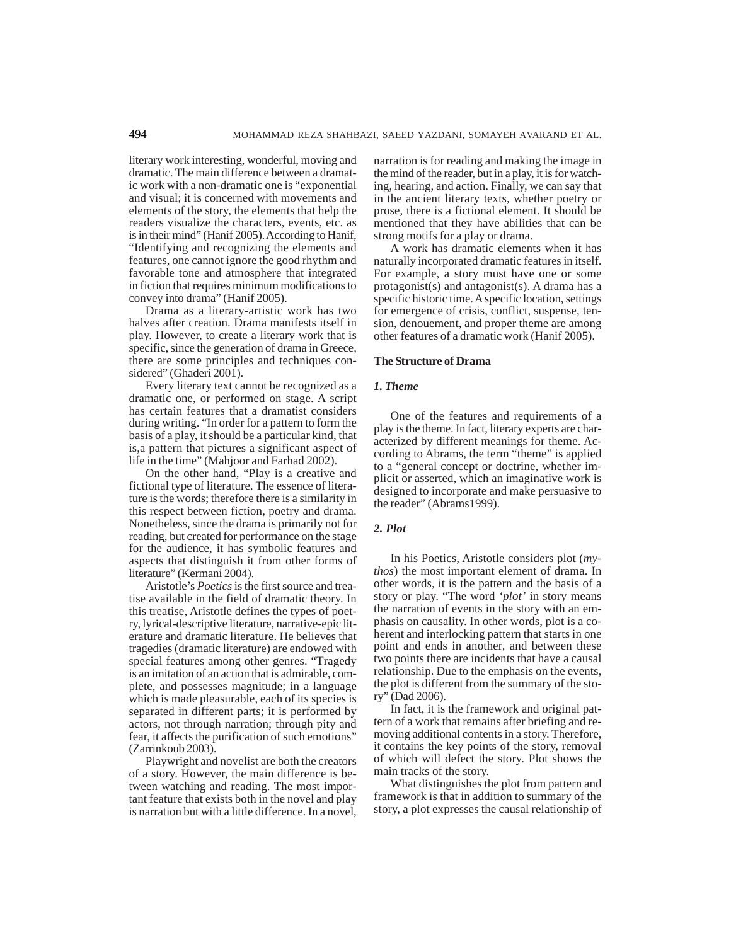literary work interesting, wonderful, moving and dramatic. The main difference between a dramatic work with a non-dramatic one is "exponential and visual; it is concerned with movements and elements of the story, the elements that help the readers visualize the characters, events, etc. as is in their mind" (Hanif 2005). According to Hanif, "Identifying and recognizing the elements and features, one cannot ignore the good rhythm and favorable tone and atmosphere that integrated in fiction that requires minimum modifications to convey into drama" (Hanif 2005).

Drama as a literary-artistic work has two halves after creation. Drama manifests itself in play. However, to create a literary work that is specific, since the generation of drama in Greece, there are some principles and techniques considered" (Ghaderi 2001).

Every literary text cannot be recognized as a dramatic one, or performed on stage. A script has certain features that a dramatist considers during writing. "In order for a pattern to form the basis of a play, it should be a particular kind, that is,a pattern that pictures a significant aspect of life in the time" (Mahjoor and Farhad 2002).

On the other hand, "Play is a creative and fictional type of literature. The essence of literature is the words; therefore there is a similarity in this respect between fiction, poetry and drama. Nonetheless, since the drama is primarily not for reading, but created for performance on the stage for the audience, it has symbolic features and aspects that distinguish it from other forms of literature" (Kermani 2004).

Aristotle's *Poetics* is the first source and treatise available in the field of dramatic theory. In this treatise, Aristotle defines the types of poetry, lyrical-descriptive literature, narrative-epic literature and dramatic literature. He believes that tragedies (dramatic literature) are endowed with special features among other genres. "Tragedy is an imitation of an action that is admirable, complete, and possesses magnitude; in a language which is made pleasurable, each of its species is separated in different parts; it is performed by actors, not through narration; through pity and fear, it affects the purification of such emotions" (Zarrinkoub 2003).

Playwright and novelist are both the creators of a story. However, the main difference is between watching and reading. The most important feature that exists both in the novel and play is narration but with a little difference. In a novel,

narration is for reading and making the image in the mind of the reader, but in a play, it is for watching, hearing, and action. Finally, we can say that in the ancient literary texts, whether poetry or prose, there is a fictional element. It should be mentioned that they have abilities that can be strong motifs for a play or drama.

A work has dramatic elements when it has naturally incorporated dramatic features in itself. For example, a story must have one or some protagonist(s) and antagonist(s). A drama has a specific historic time. A specific location, settings for emergence of crisis, conflict, suspense, tension, denouement, and proper theme are among other features of a dramatic work (Hanif 2005).

## **The Structure of Drama**

# *1. Theme*

One of the features and requirements of a play is the theme. In fact, literary experts are characterized by different meanings for theme. According to Abrams, the term "theme" is applied to a "general concept or doctrine, whether implicit or asserted, which an imaginative work is designed to incorporate and make persuasive to the reader" (Abrams1999).

### *2. Plot*

In his Poetics, Aristotle considers plot (*mythos*) the most important element of drama. In other words, it is the pattern and the basis of a story or play. "The word *'plot'* in story means the narration of events in the story with an emphasis on causality. In other words, plot is a coherent and interlocking pattern that starts in one point and ends in another, and between these two points there are incidents that have a causal relationship. Due to the emphasis on the events, the plot is different from the summary of the story" (Dad 2006).

In fact, it is the framework and original pattern of a work that remains after briefing and removing additional contents in a story. Therefore, it contains the key points of the story, removal of which will defect the story. Plot shows the main tracks of the story.

What distinguishes the plot from pattern and framework is that in addition to summary of the story, a plot expresses the causal relationship of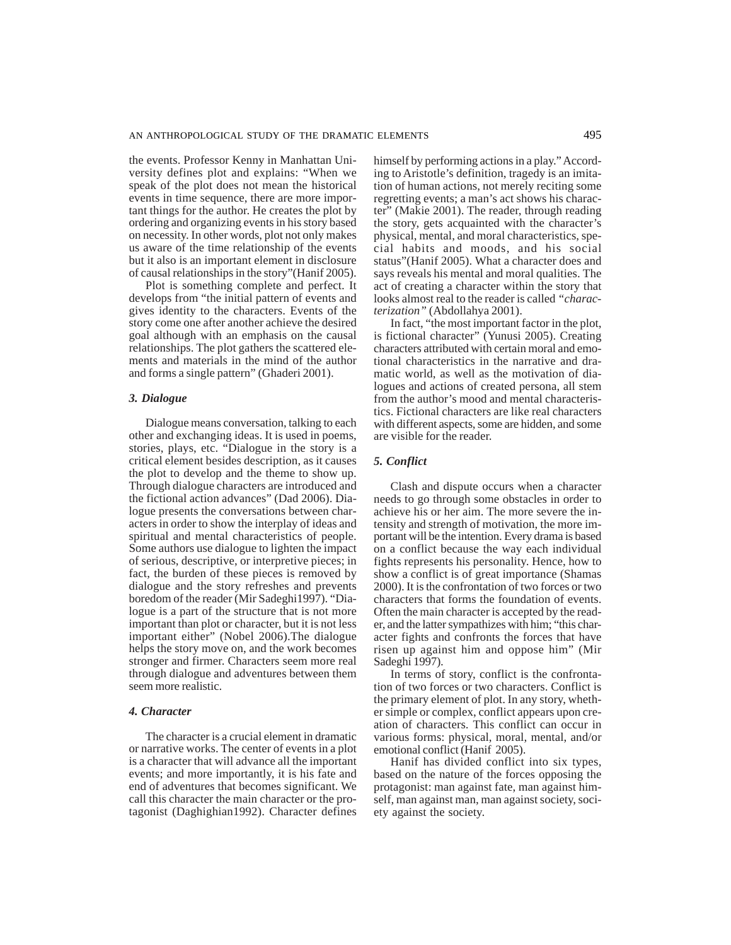the events. Professor Kenny in Manhattan University defines plot and explains: "When we speak of the plot does not mean the historical events in time sequence, there are more important things for the author. He creates the plot by ordering and organizing events in his story based on necessity. In other words, plot not only makes us aware of the time relationship of the events but it also is an important element in disclosure of causal relationships in the story"(Hanif 2005).

Plot is something complete and perfect. It develops from "the initial pattern of events and gives identity to the characters. Events of the story come one after another achieve the desired goal although with an emphasis on the causal relationships. The plot gathers the scattered elements and materials in the mind of the author and forms a single pattern" (Ghaderi 2001).

### *3. Dialogue*

Dialogue means conversation, talking to each other and exchanging ideas. It is used in poems, stories, plays, etc. "Dialogue in the story is a critical element besides description, as it causes the plot to develop and the theme to show up. Through dialogue characters are introduced and the fictional action advances" (Dad 2006). Dialogue presents the conversations between characters in order to show the interplay of ideas and spiritual and mental characteristics of people. Some authors use dialogue to lighten the impact of serious, descriptive, or interpretive pieces; in fact, the burden of these pieces is removed by dialogue and the story refreshes and prevents boredom of the reader (Mir Sadeghi1997). "Dialogue is a part of the structure that is not more important than plot or character, but it is not less important either" (Nobel 2006).The dialogue helps the story move on, and the work becomes stronger and firmer. Characters seem more real through dialogue and adventures between them seem more realistic.

### *4. Character*

The character is a crucial element in dramatic or narrative works. The center of events in a plot is a character that will advance all the important events; and more importantly, it is his fate and end of adventures that becomes significant. We call this character the main character or the protagonist (Daghighian1992). Character defines himself by performing actions in a play." According to Aristotle's definition, tragedy is an imitation of human actions, not merely reciting some regretting events; a man's act shows his character" (Makie 2001). The reader, through reading the story, gets acquainted with the character's physical, mental, and moral characteristics, special habits and moods, and his social status"(Hanif 2005). What a character does and says reveals his mental and moral qualities. The act of creating a character within the story that looks almost real to the reader is called *"characterization"* (Abdollahya 2001).

In fact, "the most important factor in the plot, is fictional character" (Yunusi 2005). Creating characters attributed with certain moral and emotional characteristics in the narrative and dramatic world, as well as the motivation of dialogues and actions of created persona, all stem from the author's mood and mental characteristics. Fictional characters are like real characters with different aspects, some are hidden, and some are visible for the reader.

# *5. Conflict*

Clash and dispute occurs when a character needs to go through some obstacles in order to achieve his or her aim. The more severe the intensity and strength of motivation, the more important will be the intention. Every drama is based on a conflict because the way each individual fights represents his personality. Hence, how to show a conflict is of great importance (Shamas 2000). It is the confrontation of two forces or two characters that forms the foundation of events. Often the main character is accepted by the reader, and the latter sympathizes with him; "this character fights and confronts the forces that have risen up against him and oppose him" (Mir Sadeghi 1997).

In terms of story, conflict is the confrontation of two forces or two characters. Conflict is the primary element of plot. In any story, whether simple or complex, conflict appears upon creation of characters. This conflict can occur in various forms: physical, moral, mental, and/or emotional conflict (Hanif 2005).

Hanif has divided conflict into six types, based on the nature of the forces opposing the protagonist: man against fate, man against himself, man against man, man against society, society against the society.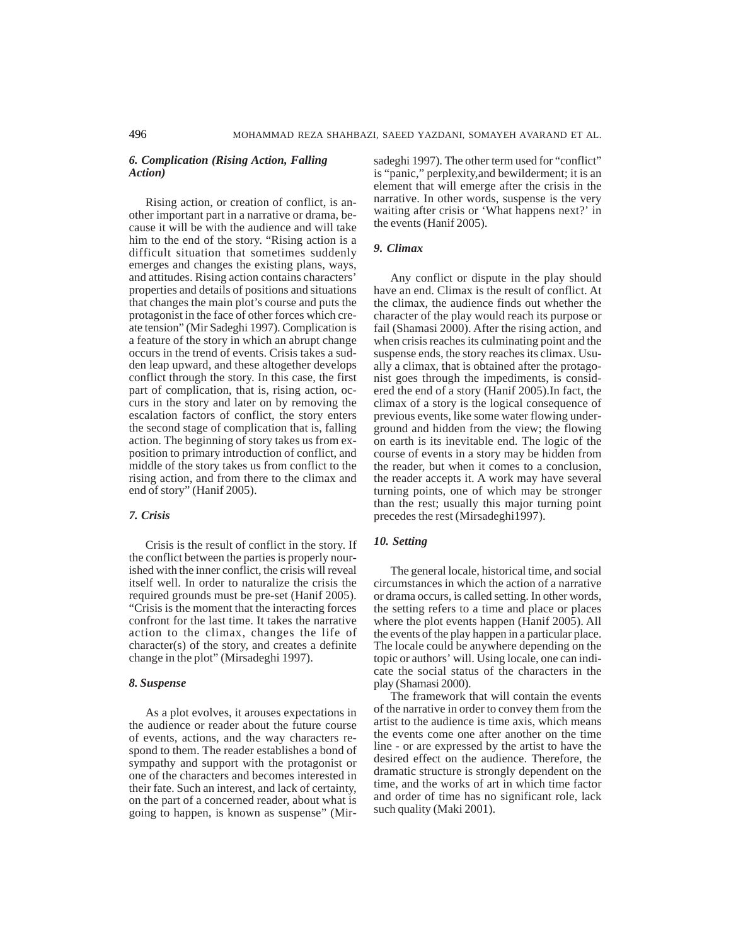# *6. Complication (Rising Action, Falling Action)*

Rising action, or creation of conflict, is another important part in a narrative or drama, because it will be with the audience and will take him to the end of the story. "Rising action is a difficult situation that sometimes suddenly emerges and changes the existing plans, ways, and attitudes. Rising action contains characters' properties and details of positions and situations that changes the main plot's course and puts the protagonist in the face of other forces which create tension" (Mir Sadeghi 1997). Complication is a feature of the story in which an abrupt change occurs in the trend of events. Crisis takes a sudden leap upward, and these altogether develops conflict through the story. In this case, the first part of complication, that is, rising action, occurs in the story and later on by removing the escalation factors of conflict, the story enters the second stage of complication that is, falling action. The beginning of story takes us from exposition to primary introduction of conflict, and middle of the story takes us from conflict to the rising action, and from there to the climax and end of story" (Hanif 2005).

### *7. Crisis*

Crisis is the result of conflict in the story. If the conflict between the parties is properly nourished with the inner conflict, the crisis will reveal itself well. In order to naturalize the crisis the required grounds must be pre-set (Hanif 2005). "Crisis is the moment that the interacting forces confront for the last time. It takes the narrative action to the climax, changes the life of character(s) of the story, and creates a definite change in the plot" (Mirsadeghi 1997).

# *8. Suspense*

As a plot evolves, it arouses expectations in the audience or reader about the future course of events, actions, and the way characters respond to them. The reader establishes a bond of sympathy and support with the protagonist or one of the characters and becomes interested in their fate. Such an interest, and lack of certainty, on the part of a concerned reader, about what is going to happen, is known as suspense" (Mirsadeghi 1997). The other term used for "conflict" is "panic," perplexity,and bewilderment; it is an element that will emerge after the crisis in the narrative. In other words, suspense is the very waiting after crisis or 'What happens next?' in the events (Hanif 2005).

### *9. Climax*

Any conflict or dispute in the play should have an end. Climax is the result of conflict. At the climax, the audience finds out whether the character of the play would reach its purpose or fail (Shamasi 2000). After the rising action, and when crisis reaches its culminating point and the suspense ends, the story reaches its climax. Usually a climax, that is obtained after the protagonist goes through the impediments, is considered the end of a story (Hanif 2005).In fact, the climax of a story is the logical consequence of previous events, like some water flowing underground and hidden from the view; the flowing on earth is its inevitable end. The logic of the course of events in a story may be hidden from the reader, but when it comes to a conclusion, the reader accepts it. A work may have several turning points, one of which may be stronger than the rest; usually this major turning point precedes the rest (Mirsadeghi1997).

### *10. Setting*

The general locale, historical time, and social circumstances in which the action of a narrative or drama occurs, is called setting. In other words, the setting refers to a time and place or places where the plot events happen (Hanif 2005). All the events of the play happen in a particular place. The locale could be anywhere depending on the topic or authors' will. Using locale, one can indicate the social status of the characters in the play (Shamasi 2000).

The framework that will contain the events of the narrative in order to convey them from the artist to the audience is time axis, which means the events come one after another on the time line - or are expressed by the artist to have the desired effect on the audience. Therefore, the dramatic structure is strongly dependent on the time, and the works of art in which time factor and order of time has no significant role, lack such quality (Maki 2001).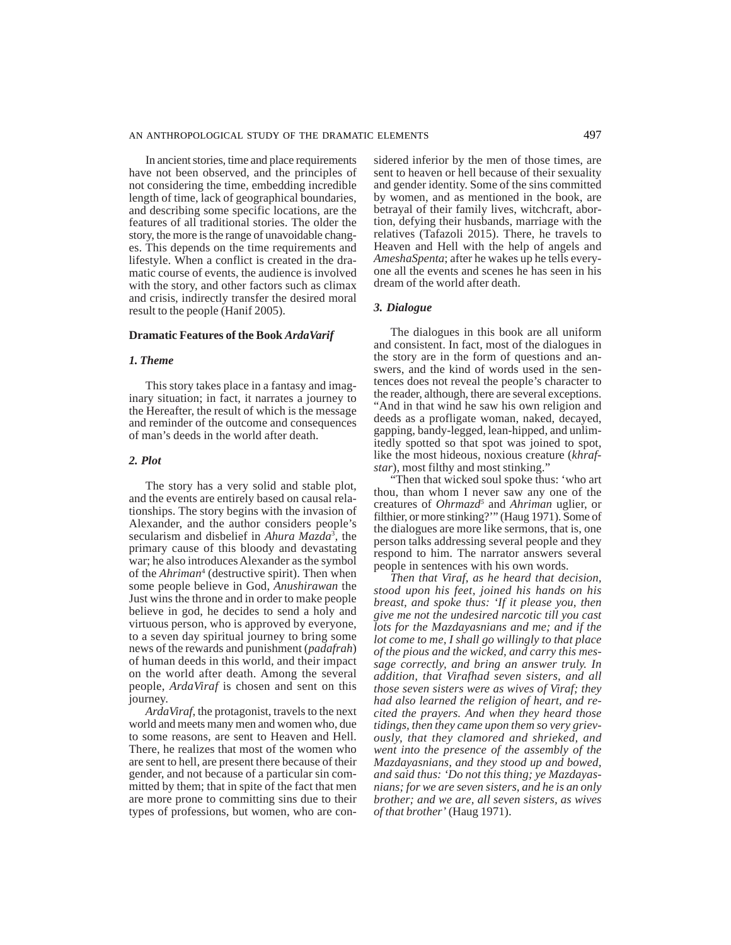In ancient stories, time and place requirements have not been observed, and the principles of not considering the time, embedding incredible length of time, lack of geographical boundaries, and describing some specific locations, are the features of all traditional stories. The older the story, the more is the range of unavoidable changes. This depends on the time requirements and lifestyle. When a conflict is created in the dramatic course of events, the audience is involved with the story, and other factors such as climax and crisis, indirectly transfer the desired moral result to the people (Hanif 2005).

### **Dramatic Features of the Book** *ArdaVarif*

### *1. Theme*

This story takes place in a fantasy and imaginary situation; in fact, it narrates a journey to the Hereafter, the result of which is the message and reminder of the outcome and consequences of man's deeds in the world after death.

# *2. Plot*

The story has a very solid and stable plot, and the events are entirely based on causal relationships. The story begins with the invasion of Alexander, and the author considers people's secularism and disbelief in *Ahura Mazda*<sup>3</sup> *,* the primary cause of this bloody and devastating war; he also introduces Alexander as the symbol of the *Ahriman*<sup>4</sup> (destructive spirit). Then when some people believe in God, *Anushirawan* the Just wins the throne and in order to make people believe in god, he decides to send a holy and virtuous person, who is approved by everyone, to a seven day spiritual journey to bring some news of the rewards and punishment (*padafrah*) of human deeds in this world, and their impact on the world after death. Among the several people, *ArdaViraf* is chosen and sent on this journey.

*ArdaViraf*, the protagonist, travels to the next world and meets many men and women who, due to some reasons, are sent to Heaven and Hell. There, he realizes that most of the women who are sent to hell, are present there because of their gender, and not because of a particular sin committed by them; that in spite of the fact that men are more prone to committing sins due to their types of professions, but women, who are considered inferior by the men of those times, are sent to heaven or hell because of their sexuality and gender identity. Some of the sins committed by women, and as mentioned in the book, are betrayal of their family lives, witchcraft, abortion, defying their husbands, marriage with the relatives (Tafazoli 2015). There, he travels to Heaven and Hell with the help of angels and *AmeshaSpenta*; after he wakes up he tells everyone all the events and scenes he has seen in his dream of the world after death.

# *3. Dialogue*

The dialogues in this book are all uniform and consistent. In fact, most of the dialogues in the story are in the form of questions and answers, and the kind of words used in the sentences does not reveal the people's character to the reader, although, there are several exceptions. "And in that wind he saw his own religion and deeds as a profligate woman, naked, decayed, gapping, bandy-legged, lean-hipped, and unlimitedly spotted so that spot was joined to spot, like the most hideous, noxious creature (*khrafstar*), most filthy and most stinking."

"Then that wicked soul spoke thus: 'who art thou, than whom I never saw any one of the creatures of *Ohrmazd5* and *Ahriman* uglier, or filthier, or more stinking?'" (Haug 1971). Some of the dialogues are more like sermons, that is, one person talks addressing several people and they respond to him. The narrator answers several people in sentences with his own words.

*Then that Viraf, as he heard that decision, stood upon his feet, joined his hands on his breast, and spoke thus: 'If it please you, then give me not the undesired narcotic till you cast lots for the Mazdayasnians and me; and if the lot come to me, I shall go willingly to that place of the pious and the wicked, and carry this message correctly, and bring an answer truly. In addition, that Virafhad seven sisters, and all those seven sisters were as wives of Viraf; they had also learned the religion of heart, and recited the prayers. And when they heard those tidings, then they came upon them so very grievously, that they clamored and shrieked, and went into the presence of the assembly of the Mazdayasnians, and they stood up and bowed, and said thus: 'Do not this thing; ye Mazdayasnians; for we are seven sisters, and he is an only brother; and we are, all seven sisters, as wives of that brother'* (Haug 1971).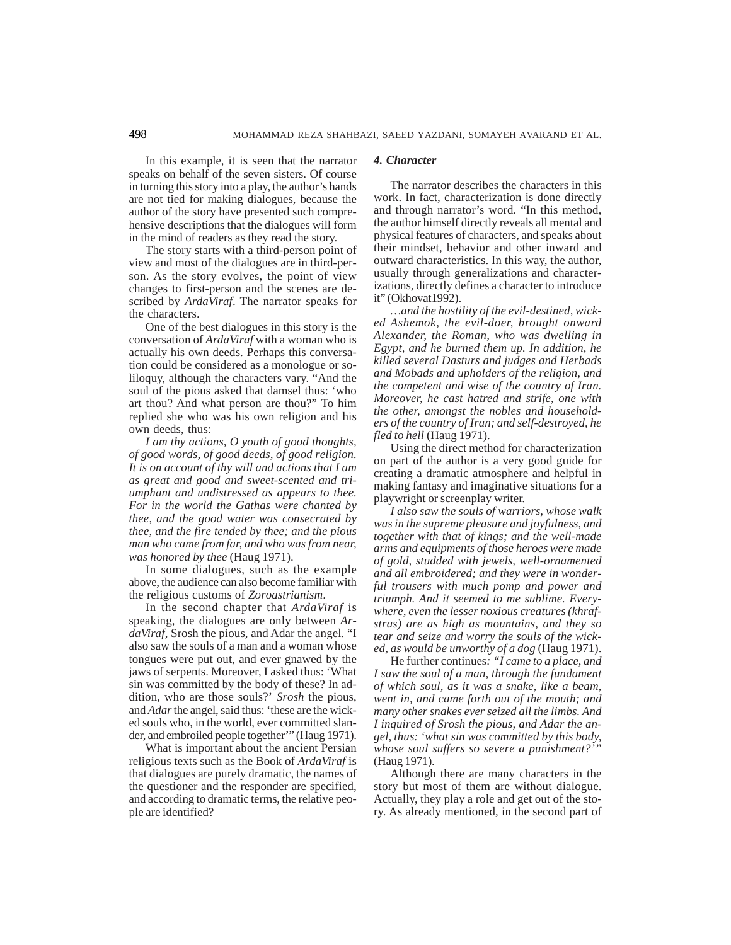In this example, it is seen that the narrator speaks on behalf of the seven sisters. Of course in turning this story into a play, the author's hands are not tied for making dialogues, because the author of the story have presented such comprehensive descriptions that the dialogues will form in the mind of readers as they read the story.

The story starts with a third-person point of view and most of the dialogues are in third-person. As the story evolves, the point of view changes to first-person and the scenes are described by *ArdaViraf*. The narrator speaks for the characters.

One of the best dialogues in this story is the conversation of *ArdaViraf* with a woman who is actually his own deeds. Perhaps this conversation could be considered as a monologue or soliloquy, although the characters vary. "And the soul of the pious asked that damsel thus: 'who art thou? And what person are thou?" To him replied she who was his own religion and his own deeds, thus:

*I am thy actions, O youth of good thoughts, of good words, of good deeds, of good religion. It is on account of thy will and actions that I am as great and good and sweet-scented and triumphant and undistressed as appears to thee. For in the world the Gathas were chanted by thee, and the good water was consecrated by thee, and the fire tended by thee; and the pious man who came from far, and who was from near, was honored by thee* (Haug 1971).

In some dialogues, such as the example above, the audience can also become familiar with the religious customs of *Zoroastrianism*.

In the second chapter that *ArdaViraf* is speaking, the dialogues are only between *ArdaViraf*, Srosh the pious, and Adar the angel. "I also saw the souls of a man and a woman whose tongues were put out, and ever gnawed by the jaws of serpents. Moreover, I asked thus: 'What sin was committed by the body of these? In addition, who are those souls?' *Srosh* the pious, and *Adar* the angel, said thus: 'these are the wicked souls who, in the world, ever committed slander, and embroiled people together'" (Haug 1971).

What is important about the ancient Persian religious texts such as the Book of *ArdaViraf* is that dialogues are purely dramatic, the names of the questioner and the responder are specified, and according to dramatic terms, the relative people are identified?

### *4. Character*

The narrator describes the characters in this work. In fact, characterization is done directly and through narrator's word. "In this method, the author himself directly reveals all mental and physical features of characters, and speaks about their mindset, behavior and other inward and outward characteristics. In this way, the author, usually through generalizations and characterizations, directly defines a character to introduce it" (Okhovat1992).

*…and the hostility of the evil-destined, wicked Ashemok, the evil-doer, brought onward Alexander, the Roman, who was dwelling in Egypt, and he burned them up. In addition, he killed several Dasturs and judges and Herbads and Mobads and upholders of the religion, and the competent and wise of the country of Iran. Moreover, he cast hatred and strife, one with the other, amongst the nobles and householders of the country of Iran; and self-destroyed, he fled to hell* (Haug 1971).

Using the direct method for characterization on part of the author is a very good guide for creating a dramatic atmosphere and helpful in making fantasy and imaginative situations for a playwright or screenplay writer.

*I also saw the souls of warriors, whose walk was in the supreme pleasure and joyfulness, and together with that of kings; and the well-made arms and equipments of those heroes were made of gold, studded with jewels, well-ornamented and all embroidered; and they were in wonderful trousers with much pomp and power and triumph. And it seemed to me sublime. Everywhere, even the lesser noxious creatures (khrafstras) are as high as mountains, and they so tear and seize and worry the souls of the wicked, as would be unworthy of a dog* (Haug 1971).

He further continues*: "I came to a place, and I saw the soul of a man, through the fundament of which soul, as it was a snake, like a beam, went in, and came forth out of the mouth; and many other snakes ever seized all the limbs. And I inquired of Srosh the pious, and Adar the angel, thus: 'what sin was committed by this body, whose soul suffers so severe a punishment?'"* (Haug 1971).

Although there are many characters in the story but most of them are without dialogue. Actually, they play a role and get out of the story. As already mentioned, in the second part of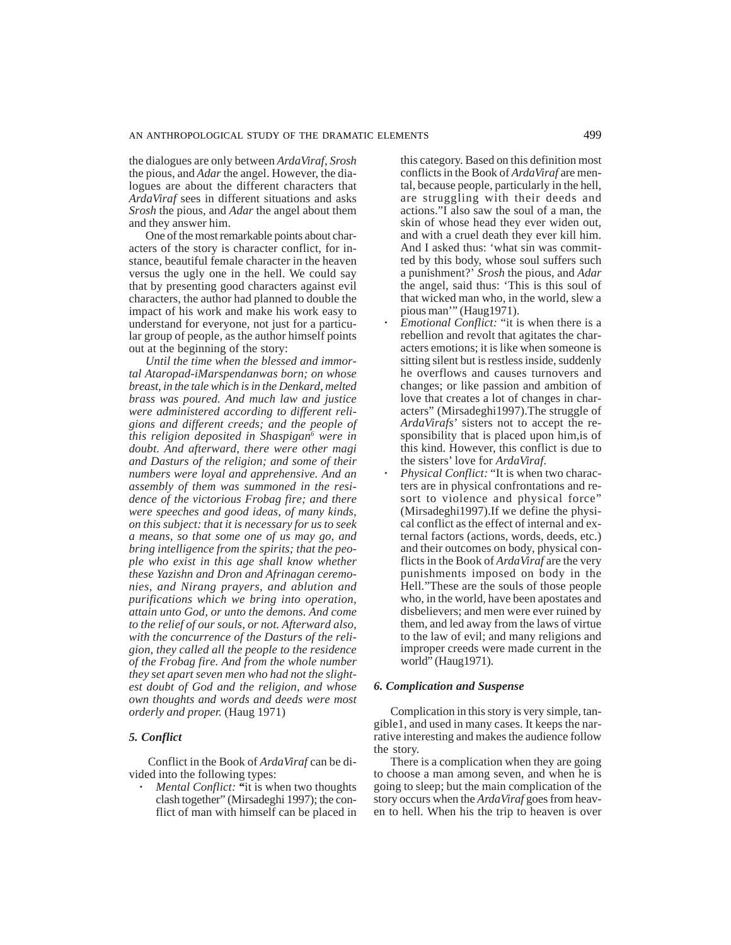the dialogues are only between *ArdaViraf*, *Srosh* the pious, and *Adar* the angel. However, the dialogues are about the different characters that *ArdaViraf* sees in different situations and asks *Srosh* the pious, and *Adar* the angel about them and they answer him.

One of the most remarkable points about characters of the story is character conflict, for instance, beautiful female character in the heaven versus the ugly one in the hell. We could say that by presenting good characters against evil characters, the author had planned to double the impact of his work and make his work easy to understand for everyone, not just for a particular group of people, as the author himself points out at the beginning of the story:

*Until the time when the blessed and immortal Ataropad-iMarspendanwas born; on whose breast, in the tale which is in the Denkard, melted brass was poured. And much law and justice were administered according to different religions and different creeds; and the people of this religion deposited in Shaspigan6 were in doubt. And afterward, there were other magi and Dasturs of the religion; and some of their numbers were loyal and apprehensive. And an assembly of them was summoned in the residence of the victorious Frobag fire; and there were speeches and good ideas, of many kinds, on this subject: that it is necessary for us to seek a means, so that some one of us may go, and bring intelligence from the spirits; that the people who exist in this age shall know whether these Yazishn and Dron and Afrinagan ceremonies, and Nirang prayers, and ablution and purifications which we bring into operation, attain unto God, or unto the demons. And come to the relief of our souls, or not. Afterward also, with the concurrence of the Dasturs of the religion, they called all the people to the residence of the Frobag fire. And from the whole number they set apart seven men who had not the slightest doubt of God and the religion, and whose own thoughts and words and deeds were most orderly and proper.* (Haug 1971)

# *5. Conflict*

 Conflict in the Book of *ArdaViraf* can be divided into the following types:

**·** *Mental Conflict: "*it is when two thoughts clash together" (Mirsadeghi 1997); the conflict of man with himself can be placed in

this category. Based on this definition most conflicts in the Book of *ArdaViraf* are mental, because people, particularly in the hell, are struggling with their deeds and actions."I also saw the soul of a man, the skin of whose head they ever widen out, and with a cruel death they ever kill him. And I asked thus: 'what sin was committed by this body, whose soul suffers such a punishment?' *Srosh* the pious, and *Adar* the angel, said thus: 'This is this soul of that wicked man who, in the world, slew a pious man'" (Haug1971).

- **·** *Emotional Conflict:* "it is when there is a rebellion and revolt that agitates the characters emotions; it is like when someone is sitting silent but is restless inside, suddenly he overflows and causes turnovers and changes; or like passion and ambition of love that creates a lot of changes in characters" (Mirsadeghi1997).The struggle of *ArdaVirafs*' sisters not to accept the responsibility that is placed upon him,is of this kind. However, this conflict is due to the sisters' love for *ArdaViraf*.
- **·** *Physical Conflict:* "It is when two characters are in physical confrontations and resort to violence and physical force" (Mirsadeghi1997).If we define the physical conflict as the effect of internal and external factors (actions, words, deeds, etc.) and their outcomes on body, physical conflicts in the Book of *ArdaViraf* are the very punishments imposed on body in the Hell."These are the souls of those people who, in the world, have been apostates and disbelievers; and men were ever ruined by them, and led away from the laws of virtue to the law of evil; and many religions and improper creeds were made current in the world" (Haug1971).

### *6. Complication and Suspense*

Complication in this story is very simple, tangible1, and used in many cases. It keeps the narrative interesting and makes the audience follow the story.

There is a complication when they are going to choose a man among seven, and when he is going to sleep; but the main complication of the story occurs when the *ArdaViraf* goes from heaven to hell. When his the trip to heaven is over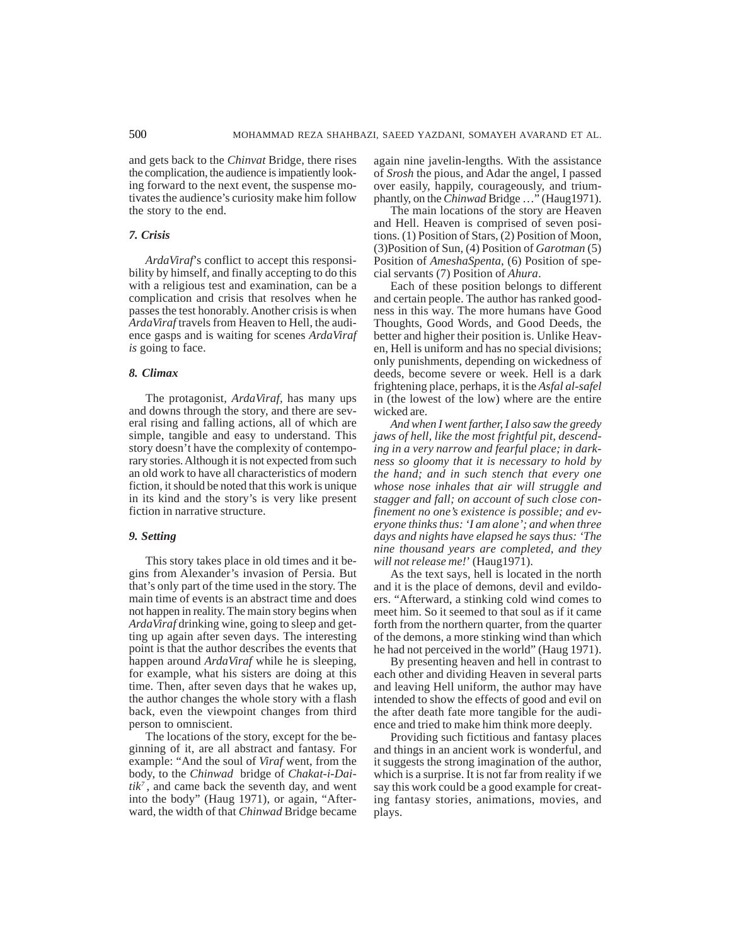and gets back to the *Chinvat* Bridge, there rises the complication, the audience is impatiently looking forward to the next event, the suspense motivates the audience's curiosity make him follow the story to the end.

# *7. Crisis*

*ArdaViraf*'s conflict to accept this responsibility by himself, and finally accepting to do this with a religious test and examination, can be a complication and crisis that resolves when he passes the test honorably. Another crisis is when *ArdaViraf* travels from Heaven to Hell, the audience gasps and is waiting for scenes *ArdaViraf is* going to face.

# *8. Climax*

The protagonist, *ArdaViraf,* has many ups and downs through the story, and there are several rising and falling actions, all of which are simple, tangible and easy to understand. This story doesn't have the complexity of contemporary stories. Although it is not expected from such an old work to have all characteristics of modern fiction, it should be noted that this work is unique in its kind and the story's is very like present fiction in narrative structure.

### *9. Setting*

This story takes place in old times and it begins from Alexander's invasion of Persia. But that's only part of the time used in the story. The main time of events is an abstract time and does not happen in reality. The main story begins when *ArdaViraf* drinking wine, going to sleep and getting up again after seven days. The interesting point is that the author describes the events that happen around *ArdaViraf* while he is sleeping, for example, what his sisters are doing at this time. Then, after seven days that he wakes up, the author changes the whole story with a flash back, even the viewpoint changes from third person to omniscient.

The locations of the story, except for the beginning of it, are all abstract and fantasy. For example: "And the soul of *Viraf* went, from the body, to the *Chinwad* bridge of *Chakat-i-Dai* $tik^7$ , and came back the seventh day, and went into the body" (Haug 1971), or again, "Afterward, the width of that *Chinwad* Bridge became

again nine javelin-lengths. With the assistance of *Srosh* the pious, and Adar the angel, I passed over easily, happily, courageously, and triumphantly, on the *Chinwad* Bridge …" (Haug1971).

The main locations of the story are Heaven and Hell. Heaven is comprised of seven positions. (1) Position of Stars, (2) Position of Moon, (3)Position of Sun, (4) Position of *Garotman* (5) Position of *AmeshaSpenta*, (6) Position of special servants (7) Position of *Ahura*.

Each of these position belongs to different and certain people. The author has ranked goodness in this way. The more humans have Good Thoughts, Good Words, and Good Deeds, the better and higher their position is. Unlike Heaven, Hell is uniform and has no special divisions; only punishments, depending on wickedness of deeds, become severe or week. Hell is a dark frightening place, perhaps, it is the *Asfal al-safel* in (the lowest of the low) where are the entire wicked are.

*And when I went farther, I also saw the greedy jaws of hell, like the most frightful pit, descending in a very narrow and fearful place; in darkness so gloomy that it is necessary to hold by the hand; and in such stench that every one whose nose inhales that air will struggle and stagger and fall; on account of such close confinement no one's existence is possible; and everyone thinks thus: 'I am alone'; and when three days and nights have elapsed he says thus: 'The nine thousand years are completed, and they will not release me!*' (Haug1971).

As the text says, hell is located in the north and it is the place of demons, devil and evildoers. "Afterward, a stinking cold wind comes to meet him. So it seemed to that soul as if it came forth from the northern quarter, from the quarter of the demons, a more stinking wind than which he had not perceived in the world" (Haug 1971).

By presenting heaven and hell in contrast to each other and dividing Heaven in several parts and leaving Hell uniform, the author may have intended to show the effects of good and evil on the after death fate more tangible for the audience and tried to make him think more deeply.

Providing such fictitious and fantasy places and things in an ancient work is wonderful, and it suggests the strong imagination of the author, which is a surprise. It is not far from reality if we say this work could be a good example for creating fantasy stories, animations, movies, and plays.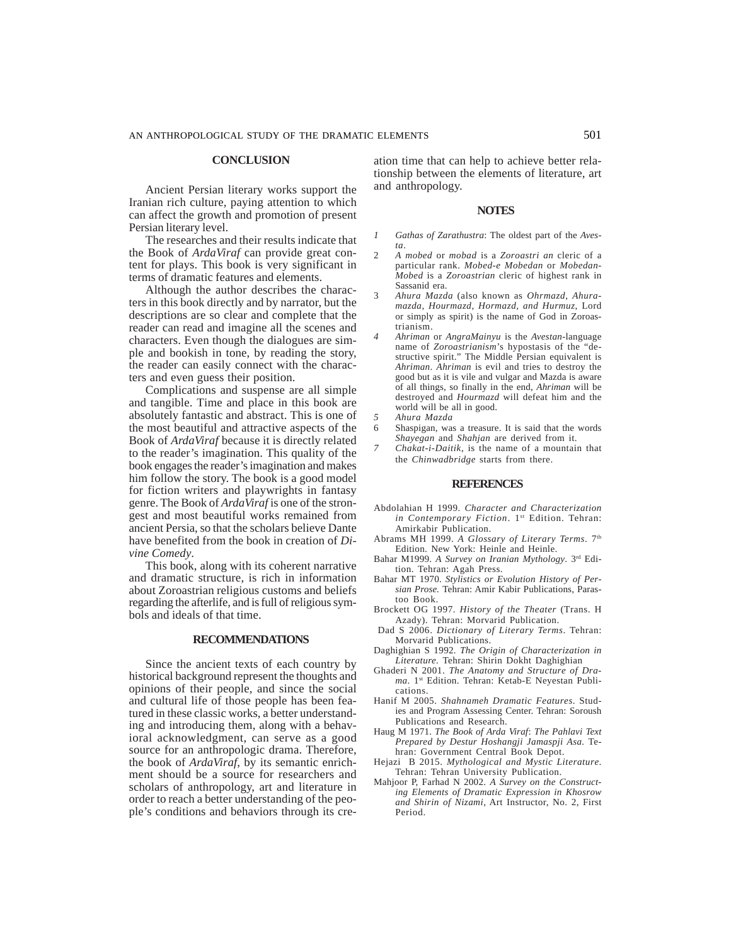### **CONCLUSION**

Ancient Persian literary works support the Iranian rich culture, paying attention to which can affect the growth and promotion of present Persian literary level.

The researches and their results indicate that the Book of *ArdaViraf* can provide great content for plays. This book is very significant in terms of dramatic features and elements.

Although the author describes the characters in this book directly and by narrator, but the descriptions are so clear and complete that the reader can read and imagine all the scenes and characters. Even though the dialogues are simple and bookish in tone, by reading the story, the reader can easily connect with the characters and even guess their position.

Complications and suspense are all simple and tangible. Time and place in this book are absolutely fantastic and abstract. This is one of the most beautiful and attractive aspects of the Book of *ArdaViraf* because it is directly related to the reader's imagination. This quality of the book engages the reader's imagination and makes him follow the story. The book is a good model for fiction writers and playwrights in fantasy genre. The Book of *ArdaViraf* is one of the strongest and most beautiful works remained from ancient Persia, so that the scholars believe Dante have benefited from the book in creation of *Divine Comedy*.

This book, along with its coherent narrative and dramatic structure, is rich in information about Zoroastrian religious customs and beliefs regarding the afterlife, and is full of religious symbols and ideals of that time.

### **RECOMMENDATIONS**

Since the ancient texts of each country by historical background represent the thoughts and opinions of their people, and since the social and cultural life of those people has been featured in these classic works, a better understanding and introducing them, along with a behavioral acknowledgment, can serve as a good source for an anthropologic drama. Therefore, the book of *ArdaViraf*, by its semantic enrichment should be a source for researchers and scholars of anthropology, art and literature in order to reach a better understanding of the people's conditions and behaviors through its creation time that can help to achieve better relationship between the elements of literature, art and anthropology.

### **NOTES**

- *1 Gathas of Zarathustra*: The oldest part of the *Avesta.*
- 2 *A mobed* or *mobad* is a *Zoroastri an* cleric of a particular rank. *Mobed-e Mobedan* or *Mobedan-Mobed* is a *Zoroastrian* cleric of highest rank in Sassanid era.
- 3 *Ahura Mazda* (also known as *Ohrmazd, Ahuramazda, Hourmazd, Hormazd, and Hurmuz*, Lord or simply as spirit) is the name of God in Zoroastrianism.
- *4 Ahriman* or *AngraMainyu* is the *Avestan*-language name of *Zoroastrianism*'s hypostasis of the "destructive spirit." The Middle Persian equivalent is *Ahriman*. *Ahriman* is evil and tries to destroy the good but as it is vile and vulgar and Mazda is aware of all things, so finally in the end, *Ahriman* will be destroyed and *Hourmazd* will defeat him and the world will be all in good.
- *5 Ahura Mazda*
- 6 Shaspigan, was a treasure. It is said that the words *Shayegan* and *Shahjan* are derived from it.
- *7 Chakat-i-Daitik*, is the name of a mountain that the *Chinwadbridge* starts from there.

### **REFERENCES**

- Abdolahian H 1999. *Character and Characterization in Contemporary Fiction*. 1st Edition. Tehran: Amirkabir Publication.
- Abrams MH 1999. *A Glossary of Literary Terms*. 7th Edition. New York: Heinle and Heinle.
- Bahar M1999. *A Survey on Iranian Mythology*. 3rd Edition. Tehran: Agah Press.
- Bahar MT 1970. *Stylistics or Evolution History of Persian Prose.* Tehran: Amir Kabir Publications, Parastoo Book.
- Brockett OG 1997. *History of the Theater* (Trans. H Azady). Tehran: Morvarid Publication.
- Dad S 2006. *Dictionary of Literary Terms*. Tehran: Morvarid Publications.
- Daghighian S 1992*. The Origin of Characterization in Literature.* Tehran: Shirin Dokht Daghighian
- Ghaderi N 2001. *The Anatomy and Structure of Drama*. 1st Edition. Tehran: Ketab-E Neyestan Publications.
- Hanif M 2005. *Shahnameh Dramatic Features*. Studies and Program Assessing Center. Tehran: Soroush Publications and Research.
- Haug M 1971. *The Book of Arda Viraf*: *The Pahlavi Text Prepared by Destur Hoshangji Jamaspji Asa.* Tehran: Government Central Book Depot.
- Hejazi B 2015. *Mythological and Mystic Literature*. Tehran: Tehran University Publication.
- Mahjoor P, Farhad N 2002. *A Survey on the Constructing Elements of Dramatic Expression in Khosrow and Shirin of Nizami*, Art Instructor, No. 2, First Period.